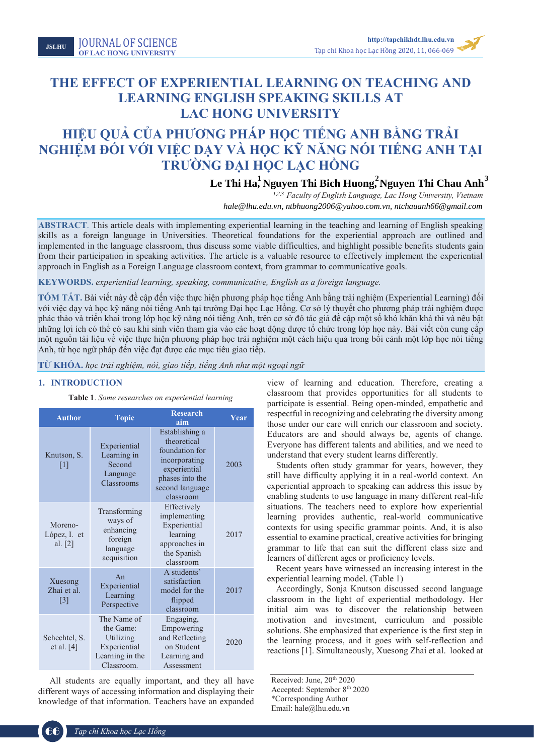**JSLHU** JOURNAL OF SCIENCE JOURNAL OF SCIENCE **OF LAC HONG UNIVERSITY JSLHU**

# **THE EFFECT OF EXPERIENTIAL LEARNING ON TEACHING AND LEARNING ENGLISH SPEAKING SKILLS AT LAC HONG UNIVERSITY**

# **HIỆU QUẢ CỦA PHƯƠNG PHÁP HỌC TIẾNG ANH BẰNG TRẢI NGHIỆM ĐỐI VỚI VIỆC DẠY VÀ HỌC KỸ NĂNG NÓI TIẾNG ANH TẠI TRƯỜNG ĐẠI HỌC LẠC HỒNG**

**Le Thi Ha, Nguyen Thi Bich Huong, Nguyen Thi Chau Anh**<sup>3</sup><br> *hale@lhu.edu.vn, ntbhuong2006@yahoo.com.vn, ntchauanh66@gmail.com*<br> *hale@lhu.edu.vn, ntbhuong2006@yahoo.com.vn, ntchauanh66@gmail.com <sup>1</sup> Faculty of English Language, Lac Hong University, Vietnam ahale@lhu.edu.vn*

**ABSTRACT**. This article deals with implementing experiential learning in the teaching and learning of English speaking skills as a foreign language in Universities. Theoretical foundations for the experiential approach are outlined and implemented in the language classroom, thus discuss some viable difficulties, and highlight possible benefits students gain from their participation in speaking activities. The article is a valuable resource to effectively implement the experiential approach in English as a Foreign Language classroom context, from grammar to communicative goals.

**KEYWORDS.** *experiential learning, speaking, communicative, English as a foreign language.*

**TÓM TẮT.** Bài viết này đề cập đến việc thực hiện phương pháp học tiếng Anh bằng trải nghiệm (Experiential Learning) đối với việc dạy và học kỹ năng nói tiếng Anh tại trường Đại học Lạc Hồng. Cơ sở lý thuyết cho phương pháp trải nghiệm được phác thảo và triển khai trong lớp học kỹ năng nói tiếng Anh, trên cơ sở đó tác giả đề cập một số khó khăn khả thi và nêu bật những lợi ích có thể có sau khi sinh viên tham gia vào các hoạt động được tổ chức trong lớp học này. Bài viết còn cung cấp một nguồn tài liệu về việc thực hiện phương pháp học trải nghiệm một cách hiệu quả trong bối cảnh một lớp học nói tiếng Anh, từ học ngữ pháp đến việc đạt được các mục tiêu giao tiếp.

**TỪ KHÓA.** *học trải nghiệm, nói, giao tiếp, tiếng Anh như một ngoại ngữ*

# **1. INTRODUCTION**

**Table 1**. *Some researches on experiential learning*

| <b>Author</b>                               | <b>Topic</b>                                                                           | <b>Research</b><br>aim                                                                                                              | Year |
|---------------------------------------------|----------------------------------------------------------------------------------------|-------------------------------------------------------------------------------------------------------------------------------------|------|
| Knutson, S.<br>[1]                          | Experiential<br>Learning in<br>Second<br>Language<br>Classrooms                        | Establishing a<br>theoretical<br>foundation for<br>incorporating<br>experiential<br>phases into the<br>second language<br>classroom | 2003 |
| Moreno-<br>López, I. et<br>al. $[2]$        | Transforming<br>ways of<br>enhancing<br>foreign<br>language<br>acquisition             | Effectively<br>implementing<br>Experiential<br>learning<br>approaches in<br>the Spanish<br>classroom                                | 2017 |
| Xuesong<br>Zhai et al.<br>$\lceil 3 \rceil$ | An<br>Experiential<br>Learning<br>Perspective                                          | A students'<br>satisfaction<br>model for the<br>flipped<br>classroom                                                                | 2017 |
| Schechtel, S.<br>et al. $[4]$               | The Name of<br>the Game:<br>Utilizing<br>Experiential<br>Learning in the<br>Classroom. | Engaging,<br>Empowering<br>and Reflecting<br>on Student<br>Learning and<br>Assessment                                               | 2020 |

All students are equally important, and they all have different ways of accessing information and displaying their knowledge of that information. Teachers have an expanded

view of learning and education. Therefore, creating a classroom that provides opportunities for all students to participate is essential. Being open-minded, empathetic and respectful in recognizing and celebrating the diversity among those under our care will enrich our classroom and society. Educators are and should always be, agents of change. Everyone has different talents and abilities, and we need to understand that every student learns differently.

Students often study grammar for years, however, they still have difficulty applying it in a real-world context. An experiential approach to speaking can address this issue by enabling students to use language in many different real-life situations. The teachers need to explore how experiential learning provides authentic, real-world communicative contexts for using specific grammar points. And, it is also essential to examine practical, creative activities for bringing grammar to life that can suit the different class size and learners of different ages or proficiency levels.

Recent years have witnessed an increasing interest in the experiential learning model. (Table 1)

Accordingly, Sonja Knutson discussed second language classroom in the light of experiential methodology. Her initial aim was to discover the relationship between motivation and investment, curriculum and possible solutions. She emphasized that experience is the first step in the learning process, and it goes with self-reflection and reactions [1]. Simultaneously, Xuesong Zhai et al. looked at

Received: June, 20<sup>th</sup> 2020 Accepted: September 8th 2020 \*Corresponding Author Email: hale@lhu.edu.vn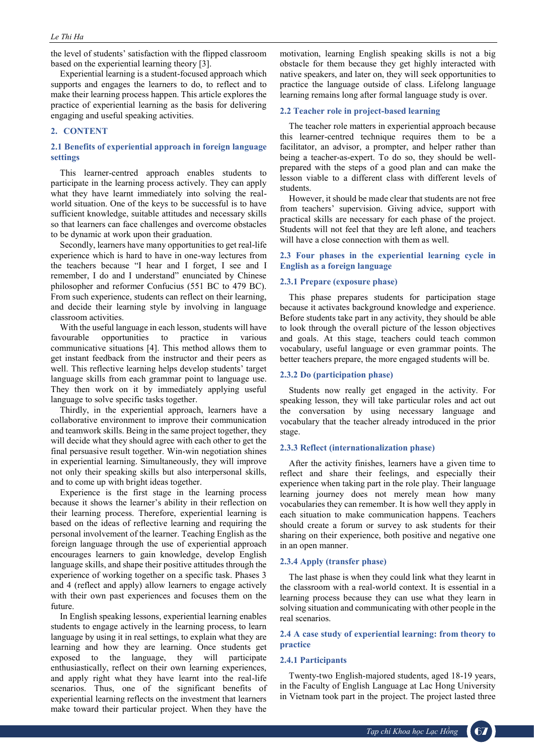the level of students' satisfaction with the flipped classroom based on the experiential learning theory [3].

Experiential learning is a student-focused approach which supports and engages the learners to do, to reflect and to make their learning process happen. This article explores the practice of experiential learning as the basis for delivering engaging and useful speaking activities.

# **2. CONTENT**

# **2.1 Benefits of experiential approach in foreign language settings**

This learner-centred approach enables students to participate in the learning process actively. They can apply what they have learnt immediately into solving the realworld situation. One of the keys to be successful is to have sufficient knowledge, suitable attitudes and necessary skills so that learners can face challenges and overcome obstacles to be dynamic at work upon their graduation.

Secondly, learners have many opportunities to get real-life experience which is hard to have in one-way lectures from the teachers because "I hear and I forget, I see and I remember, I do and I understand" enunciated by Chinese philosopher and reformer Confucius (551 BC to 479 BC). From such experience, students can reflect on their learning, and decide their learning style by involving in language classroom activities.

With the useful language in each lesson, students will have favourable opportunities to practice in various communicative situations [4]. This method allows them to get instant feedback from the instructor and their peers as well. This reflective learning helps develop students' target language skills from each grammar point to language use. They then work on it by immediately applying useful language to solve specific tasks together.

Thirdly, in the experiential approach, learners have a collaborative environment to improve their communication and teamwork skills. Being in the same project together, they will decide what they should agree with each other to get the final persuasive result together. Win-win negotiation shines in experiential learning. Simultaneously, they will improve not only their speaking skills but also interpersonal skills, and to come up with bright ideas together.

Experience is the first stage in the learning process because it shows the learner's ability in their reflection on their learning process. Therefore, experiential learning is based on the ideas of reflective learning and requiring the personal involvement of the learner. Teaching English as the foreign language through the use of experiential approach encourages learners to gain knowledge, develop English language skills, and shape their positive attitudes through the experience of working together on a specific task. Phases 3 and 4 (reflect and apply) allow learners to engage actively with their own past experiences and focuses them on the future.

In English speaking lessons, experiential learning enables students to engage actively in the learning process, to learn language by using it in real settings, to explain what they are learning and how they are learning. Once students get exposed to the language, they will participate enthusiastically, reflect on their own learning experiences, and apply right what they have learnt into the real-life scenarios. Thus, one of the significant benefits of experiential learning reflects on the investment that learners make toward their particular project. When they have the motivation, learning English speaking skills is not a big obstacle for them because they get highly interacted with native speakers, and later on, they will seek opportunities to practice the language outside of class. Lifelong language learning remains long after formal language study is over.

## **2.2 Teacher role in project-based learning**

The teacher role matters in experiential approach because this learner-centred technique requires them to be a facilitator, an advisor, a prompter, and helper rather than being a teacher-as-expert. To do so, they should be wellprepared with the steps of a good plan and can make the lesson viable to a different class with different levels of students.

However, it should be made clear that students are not free from teachers' supervision. Giving advice, support with practical skills are necessary for each phase of the project. Students will not feel that they are left alone, and teachers will have a close connection with them as well.

# **2.3 Four phases in the experiential learning cycle in English as a foreign language**

## **2.3.1 Prepare (exposure phase)**

This phase prepares students for participation stage because it activates background knowledge and experience. Before students take part in any activity, they should be able to look through the overall picture of the lesson objectives and goals. At this stage, teachers could teach common vocabulary, useful language or even grammar points. The better teachers prepare, the more engaged students will be.

## **2.3.2 Do (participation phase)**

Students now really get engaged in the activity. For speaking lesson, they will take particular roles and act out the conversation by using necessary language and vocabulary that the teacher already introduced in the prior stage.

## **2.3.3 Reflect (internationalization phase)**

After the activity finishes, learners have a given time to reflect and share their feelings, and especially their experience when taking part in the role play. Their language learning journey does not merely mean how many vocabularies they can remember. It is how well they apply in each situation to make communication happens. Teachers should create a forum or survey to ask students for their sharing on their experience, both positive and negative one in an open manner.

## **2.3.4 Apply (transfer phase)**

The last phase is when they could link what they learnt in the classroom with a real-world context. It is essential in a learning process because they can use what they learn in solving situation and communicating with other people in the real scenarios.

# **2.4 A case study of experiential learning: from theory to practice**

#### **2.4.1 Participants**

Twenty-two English-majored students, aged 18-19 years, in the Faculty of English Language at Lac Hong University in Vietnam took part in the project. The project lasted three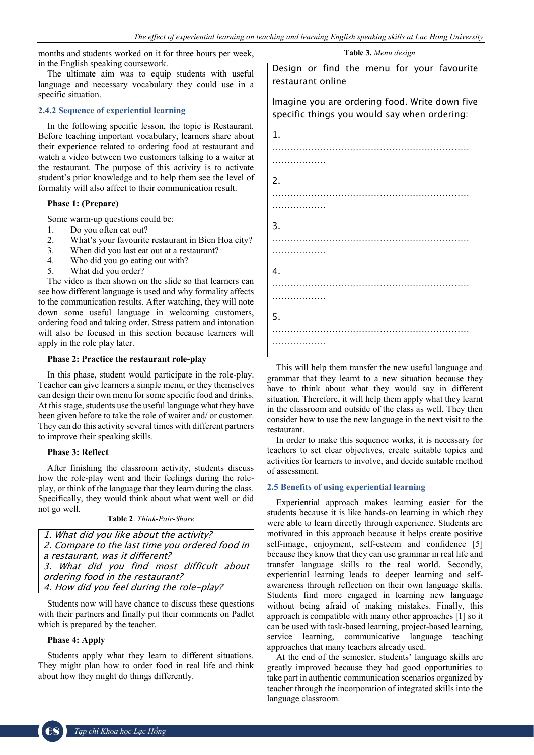months and students worked on it for three hours per week, in the English speaking coursework.

The ultimate aim was to equip students with useful language and necessary vocabulary they could use in a specific situation.

## **2.4.2 Sequence of experiential learning**

In the following specific lesson, the topic is Restaurant. Before teaching important vocabulary, learners share about their experience related to ordering food at restaurant and watch a video between two customers talking to a waiter at the restaurant. The purpose of this activity is to activate student's prior knowledge and to help them see the level of formality will also affect to their communication result.

# **Phase 1: (Prepare)**

Some warm-up questions could be:

- 1. Do you often eat out?<br>2. What's your favourite
- What's your favourite restaurant in Bien Hoa city?
- 3. When did you last eat out at a restaurant?
- 4. Who did you go eating out with?
- 5. What did you order?

The video is then shown on the slide so that learners can see how different language is used and why formality affects to the communication results. After watching, they will note down some useful language in welcoming customers, ordering food and taking order. Stress pattern and intonation will also be focused in this section because learners will apply in the role play later.

## **Phase 2: Practice the restaurant role-play**

In this phase, student would participate in the role-play. Teacher can give learners a simple menu, or they themselves can design their own menu for some specific food and drinks. At this stage, students use the useful language what they have been given before to take the role of waiter and/ or customer. They can do this activity several times with different partners to improve their speaking skills.

## **Phase 3: Reflect**

After finishing the classroom activity, students discuss how the role-play went and their feelings during the roleplay, or think of the language that they learn during the class. Specifically, they would think about what went well or did not go well.

|  | <b>Table 2.</b> Think-Pair-Share |  |
|--|----------------------------------|--|
|--|----------------------------------|--|

| 1. What did you like about the activity?        |
|-------------------------------------------------|
| 2. Compare to the last time you ordered food in |
| a restaurant, was it different?                 |
| 3. What did you find most difficult about       |
| ordering food in the restaurant?                |
| 4. How did you feel during the role-play?       |

Students now will have chance to discuss these questions with their partners and finally put their comments on Padlet which is prepared by the teacher.

# **Phase 4: Apply**

Students apply what they learn to different situations. They might plan how to order food in real life and think about how they might do things differently.

**Table 3.** *Menu design*

Design or find the menu for your favourite restaurant online

Imagine you are ordering food. Write down five specific things you would say when ordering:



This will help them transfer the new useful language and grammar that they learnt to a new situation because they have to think about what they would say in different situation. Therefore, it will help them apply what they learnt in the classroom and outside of the class as well. They then consider how to use the new language in the next visit to the restaurant.

In order to make this sequence works, it is necessary for teachers to set clear objectives, create suitable topics and activities for learners to involve, and decide suitable method of assessment.

## **2.5 Benefits of using experiential learning**

Experiential approach makes learning easier for the students because it is like hands-on learning in which they were able to learn directly through experience. Students are motivated in this approach because it helps create positive self-image, enjoyment, self-esteem and confidence [5] because they know that they can use grammar in real life and transfer language skills to the real world. Secondly, experiential learning leads to deeper learning and selfawareness through reflection on their own language skills. Students find more engaged in learning new language without being afraid of making mistakes. Finally, this approach is compatible with many other approaches [1] so it can be used with task-based learning, project-based learning, service learning, communicative language teaching approaches that many teachers already used.

At the end of the semester, students' language skills are greatly improved because they had good opportunities to take part in authentic communication scenarios organized by teacher through the incorporation of integrated skills into the language classroom.